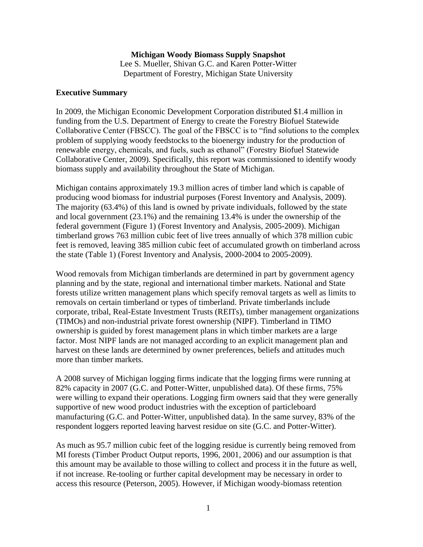# **Michigan Woody Biomass Supply Snapshot**

Lee S. Mueller, Shivan G.C. and Karen Potter-Witter Department of Forestry, Michigan State University

#### **Executive Summary**

In 2009, the Michigan Economic Development Corporation distributed \$1.4 million in funding from the U.S. Department of Energy to create the Forestry Biofuel Statewide Collaborative Center (FBSCC). The goal of the FBSCC is to "find solutions to the complex problem of supplying woody feedstocks to the bioenergy industry for the production of renewable energy, chemicals, and fuels, such as ethanol" (Forestry Biofuel Statewide Collaborative Center, 2009). Specifically, this report was commissioned to identify woody biomass supply and availability throughout the State of Michigan.

Michigan contains approximately 19.3 million acres of timber land which is capable of producing wood biomass for industrial purposes (Forest Inventory and Analysis, 2009). The majority (63.4%) of this land is owned by private individuals, followed by the state and local government (23.1%) and the remaining 13.4% is under the ownership of the federal government (Figure 1) (Forest Inventory and Analysis, 2005-2009). Michigan timberland grows 763 million cubic feet of live trees annually of which 378 million cubic feet is removed, leaving 385 million cubic feet of accumulated growth on timberland across the state (Table 1) (Forest Inventory and Analysis, 2000-2004 to 2005-2009).

Wood removals from Michigan timberlands are determined in part by government agency planning and by the state, regional and international timber markets. National and State forests utilize written management plans which specify removal targets as well as limits to removals on certain timberland or types of timberland. Private timberlands include corporate, tribal, Real-Estate Investment Trusts (REITs), timber management organizations (TIMOs) and non-industrial private forest ownership (NIPF). Timberland in TIMO ownership is guided by forest management plans in which timber markets are a large factor. Most NIPF lands are not managed according to an explicit management plan and harvest on these lands are determined by owner preferences, beliefs and attitudes much more than timber markets.

A 2008 survey of Michigan logging firms indicate that the logging firms were running at 82% capacity in 2007 (G.C. and Potter-Witter, unpublished data). Of these firms, 75% were willing to expand their operations. Logging firm owners said that they were generally supportive of new wood product industries with the exception of particleboard manufacturing (G.C. and Potter-Witter, unpublished data). In the same survey, 83% of the respondent loggers reported leaving harvest residue on site (G.C. and Potter-Witter).

As much as 95.7 million cubic feet of the logging residue is currently being removed from MI forests (Timber Product Output reports, 1996, 2001, 2006) and our assumption is that this amount may be available to those willing to collect and process it in the future as well, if not increase. Re-tooling or further capital development may be necessary in order to access this resource (Peterson, 2005). However, if Michigan woody-biomass retention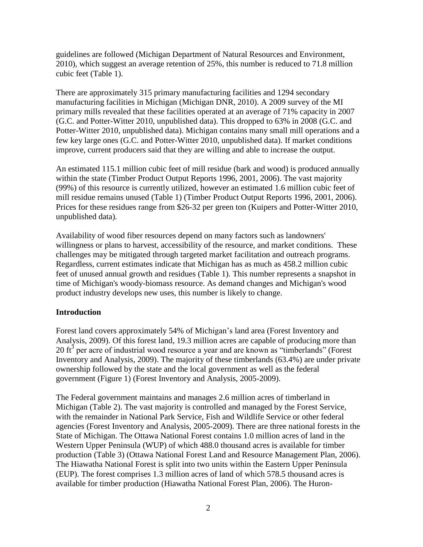guidelines are followed (Michigan Department of Natural Resources and Environment, 2010), which suggest an average retention of 25%, this number is reduced to 71.8 million cubic feet (Table 1).

There are approximately 315 primary manufacturing facilities and 1294 secondary manufacturing facilities in Michigan (Michigan DNR, 2010). A 2009 survey of the MI primary mills revealed that these facilities operated at an average of 71% capacity in 2007 (G.C. and Potter-Witter 2010, unpublished data). This dropped to 63% in 2008 (G.C. and Potter-Witter 2010, unpublished data). Michigan contains many small mill operations and a few key large ones (G.C. and Potter-Witter 2010, unpublished data). If market conditions improve, current producers said that they are willing and able to increase the output.

An estimated 115.1 million cubic feet of mill residue (bark and wood) is produced annually within the state (Timber Product Output Reports 1996, 2001, 2006). The vast majority (99%) of this resource is currently utilized, however an estimated 1.6 million cubic feet of mill residue remains unused (Table 1) (Timber Product Output Reports 1996, 2001, 2006). Prices for these residues range from \$26-32 per green ton (Kuipers and Potter-Witter 2010, unpublished data).

Availability of wood fiber resources depend on many factors such as landowners' willingness or plans to harvest, accessibility of the resource, and market conditions. These challenges may be mitigated through targeted market facilitation and outreach programs. Regardless, current estimates indicate that Michigan has as much as 458.2 million cubic feet of unused annual growth and residues (Table 1). This number represents a snapshot in time of Michigan's woody-biomass resource. As demand changes and Michigan's wood product industry develops new uses, this number is likely to change.

### **Introduction**

Forest land covers approximately 54% of Michigan's land area (Forest Inventory and Analysis, 2009). Of this forest land, 19.3 million acres are capable of producing more than 20 ft<sup>3</sup> per acre of industrial wood resource a year and are known as "timberlands" (Forest Inventory and Analysis, 2009). The majority of these timberlands (63.4%) are under private ownership followed by the state and the local government as well as the federal government (Figure 1) (Forest Inventory and Analysis, 2005-2009).

The Federal government maintains and manages 2.6 million acres of timberland in Michigan (Table 2). The vast majority is controlled and managed by the Forest Service, with the remainder in National Park Service, Fish and Wildlife Service or other federal agencies (Forest Inventory and Analysis, 2005-2009). There are three national forests in the State of Michigan. The Ottawa National Forest contains 1.0 million acres of land in the Western Upper Peninsula (WUP) of which 488.0 thousand acres is available for timber production (Table 3) (Ottawa National Forest Land and Resource Management Plan, 2006). The Hiawatha National Forest is split into two units within the Eastern Upper Peninsula (EUP). The forest comprises 1.3 million acres of land of which 578.5 thousand acres is available for timber production (Hiawatha National Forest Plan, 2006). The Huron-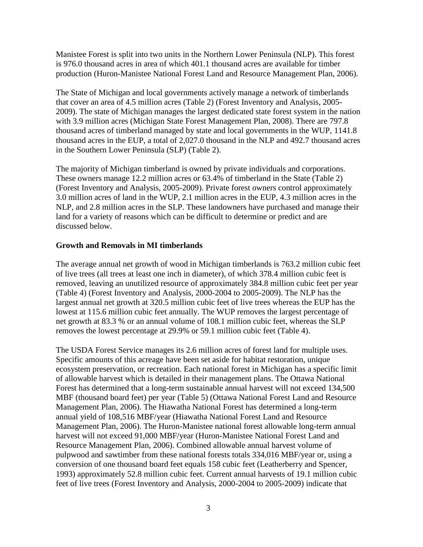Manistee Forest is split into two units in the Northern Lower Peninsula (NLP). This forest is 976.0 thousand acres in area of which 401.1 thousand acres are available for timber production (Huron-Manistee National Forest Land and Resource Management Plan, 2006).

The State of Michigan and local governments actively manage a network of timberlands that cover an area of 4.5 million acres (Table 2) (Forest Inventory and Analysis, 2005- 2009). The state of Michigan manages the largest dedicated state forest system in the nation with 3.9 million acres (Michigan State Forest Management Plan, 2008). There are 797.8 thousand acres of timberland managed by state and local governments in the WUP, 1141.8 thousand acres in the EUP, a total of 2,027.0 thousand in the NLP and 492.7 thousand acres in the Southern Lower Peninsula (SLP) (Table 2).

The majority of Michigan timberland is owned by private individuals and corporations. These owners manage 12.2 million acres or 63.4% of timberland in the State (Table 2) (Forest Inventory and Analysis, 2005-2009). Private forest owners control approximately 3.0 million acres of land in the WUP, 2.1 million acres in the EUP, 4.3 million acres in the NLP, and 2.8 million acres in the SLP. These landowners have purchased and manage their land for a variety of reasons which can be difficult to determine or predict and are discussed below.

### **Growth and Removals in MI timberlands**

The average annual net growth of wood in Michigan timberlands is 763.2 million cubic feet of live trees (all trees at least one inch in diameter), of which 378.4 million cubic feet is removed, leaving an unutilized resource of approximately 384.8 million cubic feet per year (Table 4) (Forest Inventory and Analysis, 2000-2004 to 2005-2009). The NLP has the largest annual net growth at 320.5 million cubic feet of live trees whereas the EUP has the lowest at 115.6 million cubic feet annually. The WUP removes the largest percentage of net growth at 83.3 % or an annual volume of 108.1 million cubic feet, whereas the SLP removes the lowest percentage at 29.9% or 59.1 million cubic feet (Table 4).

The USDA Forest Service manages its 2.6 million acres of forest land for multiple uses. Specific amounts of this acreage have been set aside for habitat restoration, unique ecosystem preservation, or recreation. Each national forest in Michigan has a specific limit of allowable harvest which is detailed in their management plans. The Ottawa National Forest has determined that a long-term sustainable annual harvest will not exceed 134,500 MBF (thousand board feet) per year (Table 5) (Ottawa National Forest Land and Resource Management Plan, 2006). The Hiawatha National Forest has determined a long-term annual yield of 108,516 MBF/year (Hiawatha National Forest Land and Resource Management Plan, 2006). The Huron-Manistee national forest allowable long-term annual harvest will not exceed 91,000 MBF/year (Huron-Manistee National Forest Land and Resource Management Plan, 2006). Combined allowable annual harvest volume of pulpwood and sawtimber from these national forests totals 334,016 MBF/year or, using a conversion of one thousand board feet equals 158 cubic feet (Leatherberry and Spencer, 1993) approximately 52.8 million cubic feet. Current annual harvests of 19.1 million cubic feet of live trees (Forest Inventory and Analysis, 2000-2004 to 2005-2009) indicate that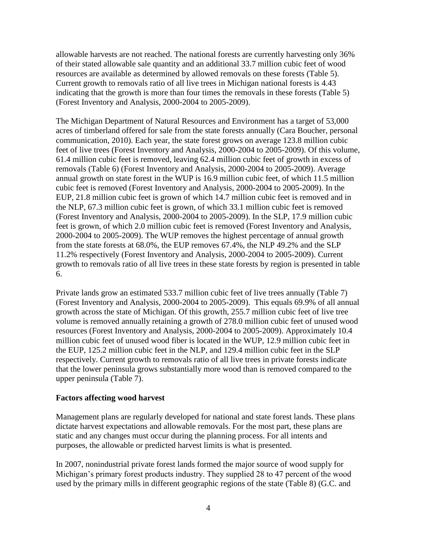allowable harvests are not reached. The national forests are currently harvesting only 36% of their stated allowable sale quantity and an additional 33.7 million cubic feet of wood resources are available as determined by allowed removals on these forests (Table 5). Current growth to removals ratio of all live trees in Michigan national forests is 4.43 indicating that the growth is more than four times the removals in these forests (Table 5) (Forest Inventory and Analysis, 2000-2004 to 2005-2009).

The Michigan Department of Natural Resources and Environment has a target of 53,000 acres of timberland offered for sale from the state forests annually (Cara Boucher, personal communication, 2010). Each year, the state forest grows on average 123.8 million cubic feet of live trees (Forest Inventory and Analysis, 2000-2004 to 2005-2009). Of this volume, 61.4 million cubic feet is removed, leaving 62.4 million cubic feet of growth in excess of removals (Table 6) (Forest Inventory and Analysis, 2000-2004 to 2005-2009). Average annual growth on state forest in the WUP is 16.9 million cubic feet, of which 11.5 million cubic feet is removed (Forest Inventory and Analysis, 2000-2004 to 2005-2009). In the EUP, 21.8 million cubic feet is grown of which 14.7 million cubic feet is removed and in the NLP, 67.3 million cubic feet is grown, of which 33.1 million cubic feet is removed (Forest Inventory and Analysis, 2000-2004 to 2005-2009). In the SLP, 17.9 million cubic feet is grown, of which 2.0 million cubic feet is removed (Forest Inventory and Analysis, 2000-2004 to 2005-2009). The WUP removes the highest percentage of annual growth from the state forests at 68.0%, the EUP removes 67.4%, the NLP 49.2% and the SLP 11.2% respectively (Forest Inventory and Analysis, 2000-2004 to 2005-2009). Current growth to removals ratio of all live trees in these state forests by region is presented in table 6.

Private lands grow an estimated 533.7 million cubic feet of live trees annually (Table 7) (Forest Inventory and Analysis, 2000-2004 to 2005-2009). This equals 69.9% of all annual growth across the state of Michigan. Of this growth, 255.7 million cubic feet of live tree volume is removed annually retaining a growth of 278.0 million cubic feet of unused wood resources (Forest Inventory and Analysis, 2000-2004 to 2005-2009). Approximately 10.4 million cubic feet of unused wood fiber is located in the WUP, 12.9 million cubic feet in the EUP, 125.2 million cubic feet in the NLP, and 129.4 million cubic feet in the SLP respectively. Current growth to removals ratio of all live trees in private forests indicate that the lower peninsula grows substantially more wood than is removed compared to the upper peninsula (Table 7).

### **Factors affecting wood harvest**

Management plans are regularly developed for national and state forest lands. These plans dictate harvest expectations and allowable removals. For the most part, these plans are static and any changes must occur during the planning process. For all intents and purposes, the allowable or predicted harvest limits is what is presented.

In 2007, nonindustrial private forest lands formed the major source of wood supply for Michigan's primary forest products industry. They supplied 28 to 47 percent of the wood used by the primary mills in different geographic regions of the state (Table 8) (G.C. and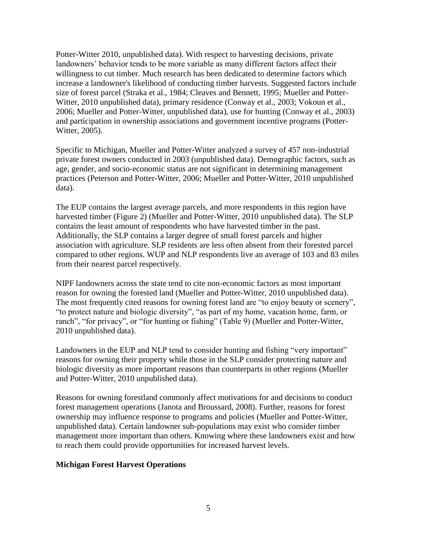Potter-Witter 2010, unpublished data). With respect to harvesting decisions, private landowners' behavior tends to be more variable as many different factors affect their willingness to cut timber. Much research has been dedicated to determine factors which increase a landowner's likelihood of conducting timber harvests. Suggested factors include size of forest parcel (Straka et al., 1984; Cleaves and Bennett, 1995; Mueller and Potter-Witter, 2010 unpublished data), primary residence (Conway et al., 2003; Vokoun et al., 2006; Mueller and Potter-Witter, unpublished data), use for hunting (Conway et al., 2003) and participation in ownership associations and government incentive programs (Potter-Witter, 2005).

Specific to Michigan, Mueller and Potter-Witter analyzed a survey of 457 non-industrial private forest owners conducted in 2003 (unpublished data). Demographic factors, such as age, gender, and socio-economic status are not significant in determining management practices (Peterson and Potter-Witter, 2006; Mueller and Potter-Witter, 2010 unpublished data).

The EUP contains the largest average parcels, and more respondents in this region have harvested timber (Figure 2) (Mueller and Potter-Witter, 2010 unpublished data). The SLP contains the least amount of respondents who have harvested timber in the past. Additionally, the SLP contains a larger degree of small forest parcels and higher association with agriculture. SLP residents are less often absent from their forested parcel compared to other regions. WUP and NLP respondents live an average of 103 and 83 miles from their nearest parcel respectively.

NIPF landowners across the state tend to cite non-economic factors as most important reason for owning the forested land (Mueller and Potter-Witter, 2010 unpublished data). The most frequently cited reasons for owning forest land are "to enjoy beauty or scenery", "to protect nature and biologic diversity", "as part of my home, vacation home, farm, or ranch", "for privacy", or "for hunting or fishing" (Table 9) (Mueller and Potter-Witter, 2010 unpublished data).

Landowners in the EUP and NLP tend to consider hunting and fishing "very important" reasons for owning their property while those in the SLP consider protecting nature and biologic diversity as more important reasons than counterparts in other regions (Mueller and Potter-Witter, 2010 unpublished data).

Reasons for owning forestland commonly affect motivations for and decisions to conduct forest management operations (Janota and Broussard, 2008). Further, reasons for forest ownership may influence response to programs and policies (Mueller and Potter-Witter, unpublished data). Certain landowner sub-populations may exist who consider timber management more important than others. Knowing where these landowners exist and how to reach them could provide opportunities for increased harvest levels.

### **Michigan Forest Harvest Operations**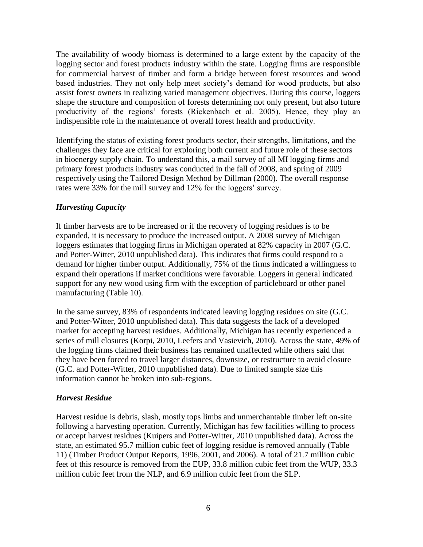The availability of woody biomass is determined to a large extent by the capacity of the logging sector and forest products industry within the state. Logging firms are responsible for commercial harvest of timber and form a bridge between forest resources and wood based industries. They not only help meet society's demand for wood products, but also assist forest owners in realizing varied management objectives. During this course, loggers shape the structure and composition of forests determining not only present, but also future productivity of the regions' forests (Rickenbach et al. 2005). Hence, they play an indispensible role in the maintenance of overall forest health and productivity.

Identifying the status of existing forest products sector, their strengths, limitations, and the challenges they face are critical for exploring both current and future role of these sectors in bioenergy supply chain. To understand this, a mail survey of all MI logging firms and primary forest products industry was conducted in the fall of 2008, and spring of 2009 respectively using the Tailored Design Method by Dillman (2000). The overall response rates were 33% for the mill survey and 12% for the loggers' survey.

### *Harvesting Capacity*

If timber harvests are to be increased or if the recovery of logging residues is to be expanded, it is necessary to produce the increased output. A 2008 survey of Michigan loggers estimates that logging firms in Michigan operated at 82% capacity in 2007 (G.C. and Potter-Witter, 2010 unpublished data). This indicates that firms could respond to a demand for higher timber output. Additionally, 75% of the firms indicated a willingness to expand their operations if market conditions were favorable. Loggers in general indicated support for any new wood using firm with the exception of particleboard or other panel manufacturing (Table 10).

In the same survey, 83% of respondents indicated leaving logging residues on site (G.C. and Potter-Witter, 2010 unpublished data). This data suggests the lack of a developed market for accepting harvest residues. Additionally, Michigan has recently experienced a series of mill closures (Korpi, 2010, Leefers and Vasievich, 2010). Across the state, 49% of the logging firms claimed their business has remained unaffected while others said that they have been forced to travel larger distances, downsize, or restructure to avoid closure (G.C. and Potter-Witter, 2010 unpublished data). Due to limited sample size this information cannot be broken into sub-regions.

### *Harvest Residue*

Harvest residue is debris, slash, mostly tops limbs and unmerchantable timber left on-site following a harvesting operation. Currently, Michigan has few facilities willing to process or accept harvest residues (Kuipers and Potter-Witter, 2010 unpublished data). Across the state, an estimated 95.7 million cubic feet of logging residue is removed annually (Table 11) (Timber Product Output Reports, 1996, 2001, and 2006). A total of 21.7 million cubic feet of this resource is removed from the EUP, 33.8 million cubic feet from the WUP, 33.3 million cubic feet from the NLP, and 6.9 million cubic feet from the SLP.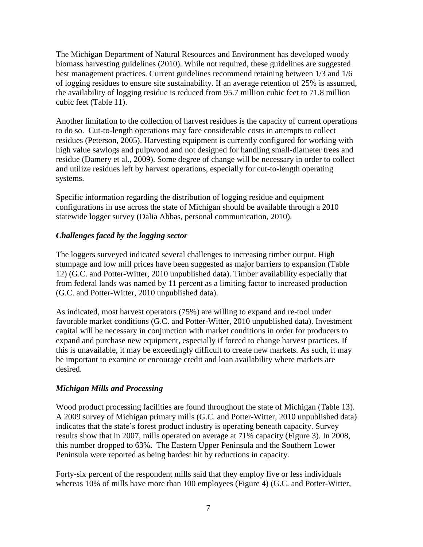The Michigan Department of Natural Resources and Environment has developed woody biomass harvesting guidelines (2010). While not required, these guidelines are suggested best management practices. Current guidelines recommend retaining between 1/3 and 1/6 of logging residues to ensure site sustainability. If an average retention of 25% is assumed, the availability of logging residue is reduced from 95.7 million cubic feet to 71.8 million cubic feet (Table 11).

Another limitation to the collection of harvest residues is the capacity of current operations to do so. Cut-to-length operations may face considerable costs in attempts to collect residues (Peterson, 2005). Harvesting equipment is currently configured for working with high value sawlogs and pulpwood and not designed for handling small-diameter trees and residue (Damery et al., 2009). Some degree of change will be necessary in order to collect and utilize residues left by harvest operations, especially for cut-to-length operating systems.

Specific information regarding the distribution of logging residue and equipment configurations in use across the state of Michigan should be available through a 2010 statewide logger survey (Dalia Abbas, personal communication, 2010).

### *Challenges faced by the logging sector*

The loggers surveyed indicated several challenges to increasing timber output. High stumpage and low mill prices have been suggested as major barriers to expansion (Table 12) (G.C. and Potter-Witter, 2010 unpublished data). Timber availability especially that from federal lands was named by 11 percent as a limiting factor to increased production (G.C. and Potter-Witter, 2010 unpublished data).

As indicated, most harvest operators (75%) are willing to expand and re-tool under favorable market conditions (G.C. and Potter-Witter, 2010 unpublished data). Investment capital will be necessary in conjunction with market conditions in order for producers to expand and purchase new equipment, especially if forced to change harvest practices. If this is unavailable, it may be exceedingly difficult to create new markets. As such, it may be important to examine or encourage credit and loan availability where markets are desired.

### *Michigan Mills and Processing*

Wood product processing facilities are found throughout the state of Michigan (Table 13). A 2009 survey of Michigan primary mills (G.C. and Potter-Witter, 2010 unpublished data) indicates that the state's forest product industry is operating beneath capacity. Survey results show that in 2007, mills operated on average at 71% capacity (Figure 3). In 2008, this number dropped to 63%. The Eastern Upper Peninsula and the Southern Lower Peninsula were reported as being hardest hit by reductions in capacity.

Forty-six percent of the respondent mills said that they employ five or less individuals whereas 10% of mills have more than 100 employees (Figure 4) (G.C. and Potter-Witter,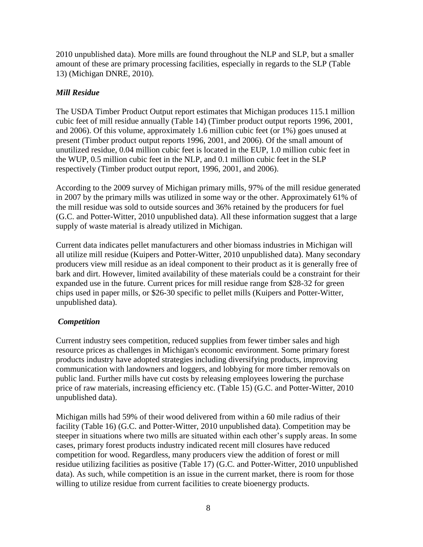2010 unpublished data). More mills are found throughout the NLP and SLP, but a smaller amount of these are primary processing facilities, especially in regards to the SLP (Table 13) (Michigan DNRE, 2010).

### *Mill Residue*

The USDA Timber Product Output report estimates that Michigan produces 115.1 million cubic feet of mill residue annually (Table 14) (Timber product output reports 1996, 2001, and 2006). Of this volume, approximately 1.6 million cubic feet (or 1%) goes unused at present (Timber product output reports 1996, 2001, and 2006). Of the small amount of unutilized residue, 0.04 million cubic feet is located in the EUP, 1.0 million cubic feet in the WUP, 0.5 million cubic feet in the NLP, and 0.1 million cubic feet in the SLP respectively (Timber product output report, 1996, 2001, and 2006).

According to the 2009 survey of Michigan primary mills, 97% of the mill residue generated in 2007 by the primary mills was utilized in some way or the other. Approximately 61% of the mill residue was sold to outside sources and 36% retained by the producers for fuel (G.C. and Potter-Witter, 2010 unpublished data). All these information suggest that a large supply of waste material is already utilized in Michigan.

Current data indicates pellet manufacturers and other biomass industries in Michigan will all utilize mill residue (Kuipers and Potter-Witter, 2010 unpublished data). Many secondary producers view mill residue as an ideal component to their product as it is generally free of bark and dirt. However, limited availability of these materials could be a constraint for their expanded use in the future. Current prices for mill residue range from \$28-32 for green chips used in paper mills, or \$26-30 specific to pellet mills (Kuipers and Potter-Witter, unpublished data).

# *Competition*

Current industry sees competition, reduced supplies from fewer timber sales and high resource prices as challenges in Michigan's economic environment. Some primary forest products industry have adopted strategies including diversifying products, improving communication with landowners and loggers, and lobbying for more timber removals on public land. Further mills have cut costs by releasing employees lowering the purchase price of raw materials, increasing efficiency etc. (Table 15) (G.C. and Potter-Witter, 2010 unpublished data).

Michigan mills had 59% of their wood delivered from within a 60 mile radius of their facility (Table 16) (G.C. and Potter-Witter, 2010 unpublished data). Competition may be steeper in situations where two mills are situated within each other's supply areas. In some cases, primary forest products industry indicated recent mill closures have reduced competition for wood. Regardless, many producers view the addition of forest or mill residue utilizing facilities as positive (Table 17) (G.C. and Potter-Witter, 2010 unpublished data). As such, while competition is an issue in the current market, there is room for those willing to utilize residue from current facilities to create bioenergy products.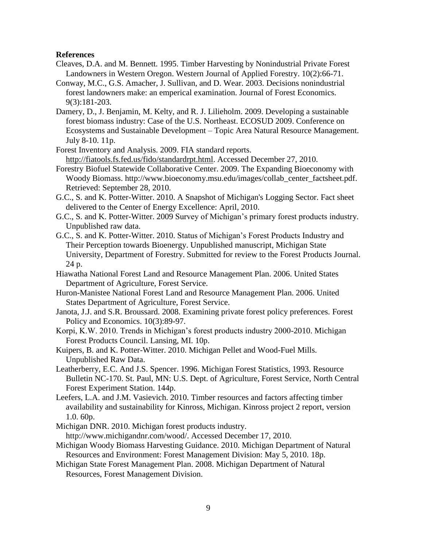#### **References**

- Cleaves, D.A. and M. Bennett. 1995. Timber Harvesting by Nonindustrial Private Forest Landowners in Western Oregon. Western Journal of Applied Forestry. 10(2):66-71.
- Conway, M.C., G.S. Amacher, J. Sullivan, and D. Wear. 2003. Decisions nonindustrial forest landowners make: an emperical examination. Journal of Forest Economics. 9(3):181-203.
- Damery, D., J. Benjamin, M. Kelty, and R. J. Lilieholm. 2009. Developing a sustainable forest biomass industry: Case of the U.S. Northeast. ECOSUD 2009. Conference on Ecosystems and Sustainable Development – Topic Area Natural Resource Management. July 8-10. 11p.
- Forest Inventory and Analysis. 2009. FIA standard reports. [http://fiatools.fs.fed.us/fido/standardrpt.html.](http://fiatools.fs.fed.us/fido/standardrpt.html) Accessed December 27, 2010.
- Forestry Biofuel Statewide Collaborative Center. 2009. The Expanding Bioeconomy with Woody Biomass. http://www.bioeconomy.msu.edu/images/collab\_center\_factsheet.pdf. Retrieved: September 28, 2010.
- G.C., S. and K. Potter-Witter. 2010. A Snapshot of Michigan's Logging Sector. Fact sheet delivered to the Center of Energy Excellence: April, 2010.
- G.C., S. and K. Potter-Witter. 2009 Survey of Michigan's primary forest products industry. Unpublished raw data.
- G.C., S. and K. Potter-Witter. 2010. Status of Michigan's Forest Products Industry and Their Perception towards Bioenergy. Unpublished manuscript, Michigan State University, Department of Forestry. Submitted for review to the Forest Products Journal. 24 p.
- Hiawatha National Forest Land and Resource Management Plan. 2006. United States Department of Agriculture, Forest Service.
- Huron-Manistee National Forest Land and Resource Management Plan. 2006. United States Department of Agriculture, Forest Service.
- Janota, J.J. and S.R. Broussard. 2008. Examining private forest policy preferences. Forest Policy and Economics. 10(3):89-97.
- Korpi, K.W. 2010. Trends in Michigan's forest products industry 2000-2010. Michigan Forest Products Council. Lansing, MI. 10p.
- Kuipers, B. and K. Potter-Witter. 2010. Michigan Pellet and Wood-Fuel Mills. Unpublished Raw Data.
- Leatherberry, E.C. And J.S. Spencer. 1996. Michigan Forest Statistics, 1993. Resource Bulletin NC-170. St. Paul, MN: U.S. Dept. of Agriculture, Forest Service, North Central Forest Experiment Station. 144p.
- Leefers, L.A. and J.M. Vasievich. 2010. Timber resources and factors affecting timber availability and sustainability for Kinross, Michigan. Kinross project 2 report, version 1.0. 60p.
- Michigan DNR. 2010. Michigan forest products industry.

[http://www.michigandnr.com/wood/.](http://www.michigandnr.com/wood/) Accessed December 17, 2010.

- Michigan Woody Biomass Harvesting Guidance. 2010. Michigan Department of Natural Resources and Environment: Forest Management Division: May 5, 2010. 18p.
- Michigan State Forest Management Plan. 2008. Michigan Department of Natural Resources, Forest Management Division.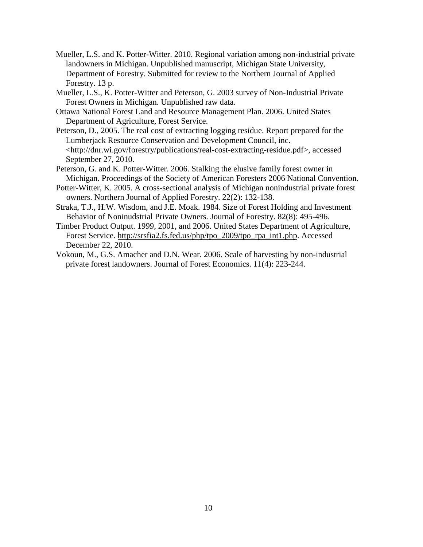- Mueller, L.S. and K. Potter-Witter. 2010. Regional variation among non-industrial private landowners in Michigan. Unpublished manuscript, Michigan State University, Department of Forestry. Submitted for review to the Northern Journal of Applied Forestry. 13 p.
- Mueller, L.S., K. Potter-Witter and Peterson, G. 2003 survey of Non-Industrial Private Forest Owners in Michigan. Unpublished raw data.
- Ottawa National Forest Land and Resource Management Plan. 2006. United States Department of Agriculture, Forest Service.
- Peterson, D., 2005. The real cost of extracting logging residue. Report prepared for the Lumberjack Resource Conservation and Development Council, inc. <http://dnr.wi.gov/forestry/publications/real-cost-extracting-residue.pdf>, accessed September 27, 2010.
- Peterson, G. and K. Potter-Witter. 2006. Stalking the elusive family forest owner in Michigan. Proceedings of the Society of American Foresters 2006 National Convention.
- Potter-Witter, K. 2005. A cross-sectional analysis of Michigan nonindustrial private forest owners. Northern Journal of Applied Forestry. 22(2): 132-138.
- Straka, T.J., H.W. Wisdom, and J.E. Moak. 1984. Size of Forest Holding and Investment Behavior of Noninudstrial Private Owners. Journal of Forestry. 82(8): 495-496.
- Timber Product Output. 1999, 2001, and 2006. United States Department of Agriculture, Forest Service. [http://srsfia2.fs.fed.us/php/tpo\\_2009/tpo\\_rpa\\_int1.php.](http://srsfia2.fs.fed.us/php/tpo_2009/tpo_rpa_int1.php) Accessed December 22, 2010.
- Vokoun, M., G.S. Amacher and D.N. Wear. 2006. Scale of harvesting by non-industrial private forest landowners. Journal of Forest Economics. 11(4): 223-244.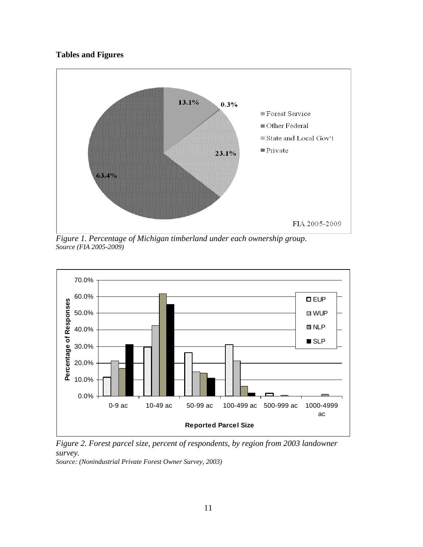# **Tables and Figures**



*Figure 1. Percentage of Michigan timberland under each ownership group. Source (FIA 2005-2009)*



*Figure 2. Forest parcel size, percent of respondents, by region from 2003 landowner survey.*

*Source: (Nonindustrial Private Forest Owner Survey, 2003)*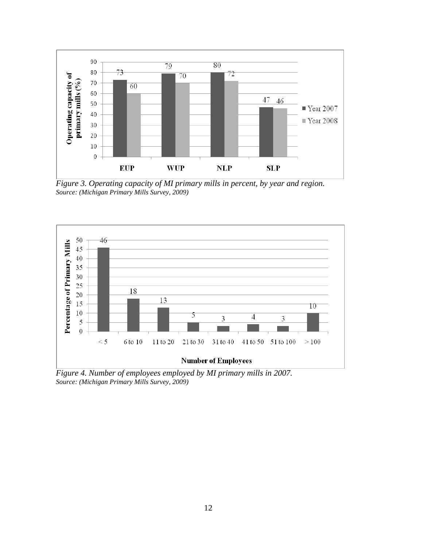

*Figure 3. Operating capacity of MI primary mills in percent, by year and region. Source: (Michigan Primary Mills Survey, 2009)*



*Figure 4. Number of employees employed by MI primary mills in 2007. Source: (Michigan Primary Mills Survey, 2009)*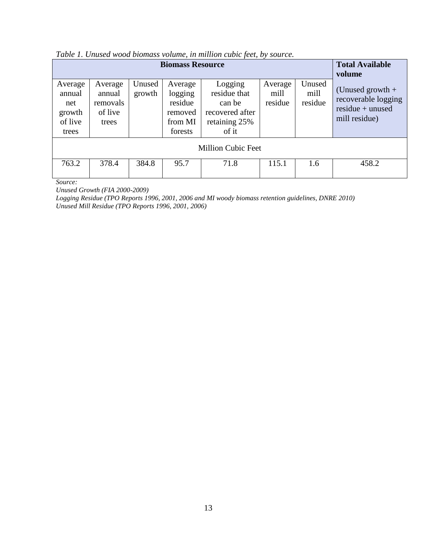|                                                        | <b>Total Available</b><br>volume                  |                  |                                                                |                                                                                |                            |                           |                                                                                  |
|--------------------------------------------------------|---------------------------------------------------|------------------|----------------------------------------------------------------|--------------------------------------------------------------------------------|----------------------------|---------------------------|----------------------------------------------------------------------------------|
| Average<br>annual<br>net<br>growth<br>of live<br>trees | Average<br>annual<br>removals<br>of live<br>trees | Unused<br>growth | Average<br>logging<br>residue<br>removed<br>from MI<br>forests | Logging<br>residue that<br>can be<br>recovered after<br>retaining 25%<br>of it | Average<br>mill<br>residue | Unused<br>mill<br>residue | (Unused growth $+$<br>recoverable logging<br>$residue + unused$<br>mill residue) |
| <b>Million Cubic Feet</b>                              |                                                   |                  |                                                                |                                                                                |                            |                           |                                                                                  |
| 763.2                                                  | 378.4                                             | 384.8            | 95.7                                                           | 71.8                                                                           | 115.1                      | 1.6                       | 458.2                                                                            |

*Source:* 

*Unused Growth (FIA 2000-2009)*

*Logging Residue (TPO Reports 1996, 2001, 2006 and MI woody biomass retention guidelines, DNRE 2010) Unused Mill Residue (TPO Reports 1996, 2001, 2006)*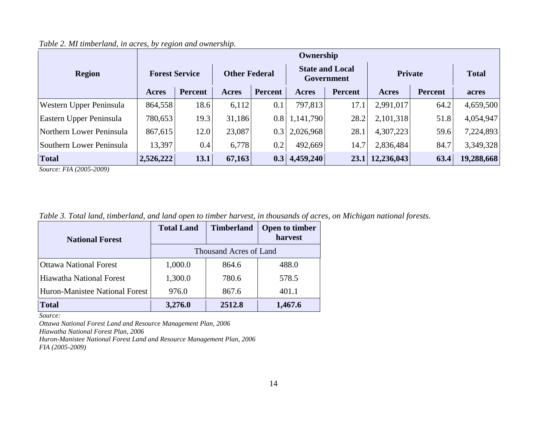|                          | Ownership             |         |                      |         |                                      |                |                 |                |              |
|--------------------------|-----------------------|---------|----------------------|---------|--------------------------------------|----------------|-----------------|----------------|--------------|
| <b>Region</b>            | <b>Forest Service</b> |         | <b>Other Federal</b> |         | <b>State and Local</b><br>Government |                | Private         |                | <b>Total</b> |
|                          | Acres                 | Percent | Acres                | Percent | Acres                                | <b>Percent</b> | Acres           | <b>Percent</b> | acres        |
| Western Upper Peninsula  | 864,558               | 18.6    | 6,112                | 0.1     | 797,813                              | 17.1           | 2,991,017       | 64.2           | 4,659,500    |
| Eastern Upper Peninsula  | 780,653               | 19.3    | 31,186               | 0.8     | 1,141,790                            | 28.2           | 2,101,318       | 51.8           | 4,054,947    |
| Northern Lower Peninsula | 867,615               | 12.0    | 23,087               | 0.3     | 2,026,968                            | 28.1           | 4,307,223       | 59.6           | 7,224,893    |
| Southern Lower Peninsula | 13,397                | 0.4     | 6,778                | 0.2     | 492,669                              | 14.7           | 2,836,484       | 84.7           | 3,349,328    |
| <b>Total</b>             | 2,526,222             | 13.1    | 67,163               | 0.3     | 4,459,240                            |                | 23.1 12,236,043 | 63.4           | 19,288,668   |

*Table 2. MI timberland, in acres, by region and ownership.* 

*Source: FIA (2005-2009)*

*Table 3. Total land, timberland, and land open to timber harvest, in thousands of acres, on Michigan national forests.*

| <b>National Forest</b>          | <b>Total Land</b>      | <b>Timberland</b> | <b>Open to timber</b><br>harvest |  |  |  |
|---------------------------------|------------------------|-------------------|----------------------------------|--|--|--|
|                                 | Thousand Acres of Land |                   |                                  |  |  |  |
| <b>Ottawa National Forest</b>   | 1,000.0                | 864.6             | 488.0                            |  |  |  |
| <b>Hiawatha National Forest</b> | 1,300.0                | 780.6             | 578.5                            |  |  |  |
| Huron-Manistee National Forest  | 976.0                  | 867.6             | 401.1                            |  |  |  |
| <b>Total</b>                    | 3,276.0                | 2512.8            | 1,467.6                          |  |  |  |

*Source:* 

*Ottawa National Forest Land and Resource Management Plan, 2006*

*Hiawatha National Forest Plan, 2006*

*Huron-Manistee National Forest Land and Resource Management Plan, 2006 FIA (2005-2009)*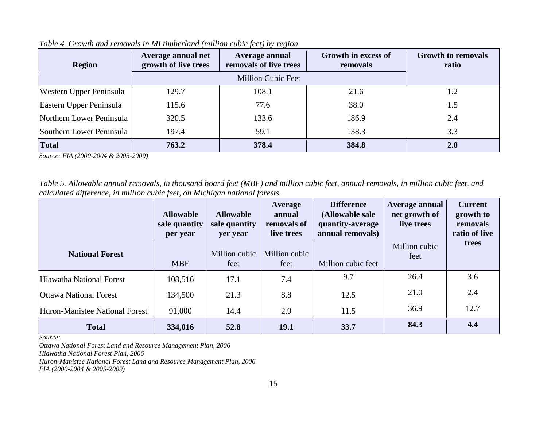| <b>Region</b>            | Average annual net<br>growth of live trees | Average annual<br>removals of live trees | Growth in excess of<br>removals | <b>Growth to removals</b><br>ratio |
|--------------------------|--------------------------------------------|------------------------------------------|---------------------------------|------------------------------------|
|                          |                                            |                                          |                                 |                                    |
| Western Upper Peninsula  | 129.7                                      | 108.1                                    | 21.6                            | 1.2                                |
| Eastern Upper Peninsula  | 115.6                                      | 77.6                                     | 38.0                            | 1.5                                |
| Northern Lower Peninsula | 320.5                                      | 133.6                                    | 186.9                           | 2.4                                |
| Southern Lower Peninsula | 197.4                                      | 59.1                                     | 138.3                           | 3.3                                |
| <b>Total</b>             | 763.2                                      | 378.4                                    | 384.8                           | <b>2.0</b>                         |

*Table 4. Growth and removals in MI timberland (million cubic feet) by region.*

*Source: FIA (2000-2004 & 2005-2009)*

*Table 5. Allowable annual removals, in thousand board feet (MBF) and million cubic feet, annual removals, in million cubic feet, and calculated difference, in million cubic feet, on Michigan national forests.*

|                                | <b>Allowable</b><br>sale quantity<br>per year | <b>Allowable</b><br>sale quantity<br>yer year | Average<br>annual<br>removals of<br>live trees | <b>Difference</b><br>(Allowable sale<br>quantity-average<br>annual removals) | Average annual<br>net growth of<br>live trees | <b>Current</b><br>growth to<br>removals<br>ratio of live |
|--------------------------------|-----------------------------------------------|-----------------------------------------------|------------------------------------------------|------------------------------------------------------------------------------|-----------------------------------------------|----------------------------------------------------------|
| <b>National Forest</b>         | <b>MBF</b>                                    | Million cubic<br>feet                         | Million cubic<br>feet                          | Million cubic feet                                                           | Million cubic<br>feet                         | trees                                                    |
| Hiawatha National Forest       | 108,516                                       | 17.1                                          | 7.4                                            | 9.7                                                                          | 26.4                                          | 3.6                                                      |
| <b>Ottawa National Forest</b>  | 134,500                                       | 21.3                                          | 8.8                                            | 12.5                                                                         | 21.0                                          | 2.4                                                      |
| Huron-Manistee National Forest | 91,000                                        | 14.4                                          | 2.9                                            | 11.5                                                                         | 36.9                                          | 12.7                                                     |
| <b>Total</b>                   | 334,016                                       | 52.8                                          | 19.1                                           | 33.7                                                                         | 84.3                                          | 4.4                                                      |

*Source:* 

*Ottawa National Forest Land and Resource Management Plan, 2006*

*Hiawatha National Forest Plan, 2006*

*Huron-Manistee National Forest Land and Resource Management Plan, 2006*

*FIA (2000-2004 & 2005-2009)*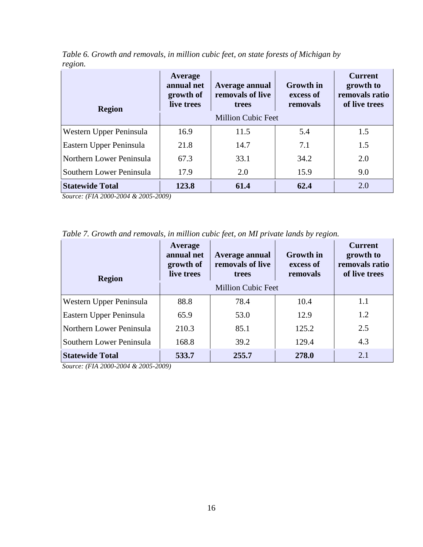| <b>Region</b>            | Average<br>annual net<br>growth of<br>live trees | Average annual<br>removals of live<br>trees<br><b>Million Cubic Feet</b> | <b>Growth</b> in<br>excess of<br>removals | <b>Current</b><br>growth to<br>removals ratio<br>of live trees |
|--------------------------|--------------------------------------------------|--------------------------------------------------------------------------|-------------------------------------------|----------------------------------------------------------------|
| Western Upper Peninsula  | 16.9                                             | 11.5                                                                     | 5.4                                       | 1.5                                                            |
| Eastern Upper Peninsula  | 21.8                                             | 14.7                                                                     | 7.1                                       | 1.5                                                            |
| Northern Lower Peninsula | 67.3                                             | 33.1                                                                     | 34.2                                      | 2.0                                                            |
| Southern Lower Peninsula | 17.9                                             | 2.0                                                                      | 15.9                                      | 9.0                                                            |
| <b>Statewide Total</b>   | 123.8                                            | 61.4                                                                     | 62.4                                      | 2.0                                                            |

*Table 6. Growth and removals, in million cubic feet, on state forests of Michigan by region.* 

*Source: (FIA 2000-2004 & 2005-2009)*

*Table 7. Growth and removals, in million cubic feet, on MI private lands by region.*

| <b>Region</b>            | Average<br>annual net<br>growth of<br>live trees | Average annual<br>removals of live<br>trees | <b>Growth</b> in<br>excess of<br>removals | <b>Current</b><br>growth to<br>removals ratio<br>of live trees |
|--------------------------|--------------------------------------------------|---------------------------------------------|-------------------------------------------|----------------------------------------------------------------|
|                          |                                                  |                                             |                                           |                                                                |
| Western Upper Peninsula  | 88.8                                             | 78.4                                        | 10.4                                      | 1.1                                                            |
| Eastern Upper Peninsula  | 65.9                                             | 53.0                                        | 12.9                                      | 1.2                                                            |
| Northern Lower Peninsula | 210.3                                            | 85.1                                        | 125.2                                     | 2.5                                                            |
| Southern Lower Peninsula | 168.8                                            | 39.2                                        | 129.4                                     | 4.3                                                            |
| <b>Statewide Total</b>   | 533.7                                            | 255.7                                       | 278.0                                     | 2.1                                                            |

*Source: (FIA 2000-2004 & 2005-2009)*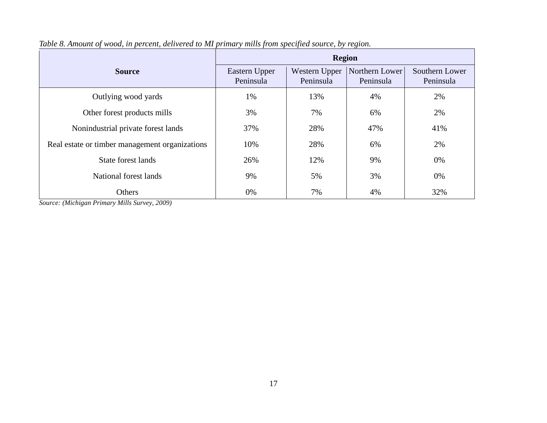|                                                | <b>Region</b>              |                            |                             |                             |  |  |  |
|------------------------------------------------|----------------------------|----------------------------|-----------------------------|-----------------------------|--|--|--|
| <b>Source</b>                                  | Eastern Upper<br>Peninsula | Western Upper<br>Peninsula | Northern Lower<br>Peninsula | Southern Lower<br>Peninsula |  |  |  |
| Outlying wood yards                            | 1%                         | 13%                        | 4%                          | 2%                          |  |  |  |
| Other forest products mills                    | 3%                         | 7%                         | 6%                          | 2%                          |  |  |  |
| Nonindustrial private forest lands             | 37%                        | 28%                        | 47%                         | 41%                         |  |  |  |
| Real estate or timber management organizations | 10%                        | 28%                        | 6%                          | 2%                          |  |  |  |
| State forest lands                             | 26%                        | 12%                        | 9%                          | 0%                          |  |  |  |
| National forest lands                          | 9%                         | 5%                         | 3%                          | 0%                          |  |  |  |
| Others                                         | 0%                         | 7%                         | 4%                          | 32%                         |  |  |  |

*Table 8. Amount of wood, in percent, delivered to MI primary mills from specified source, by region.*

*Source: (Michigan Primary Mills Survey, 2009)*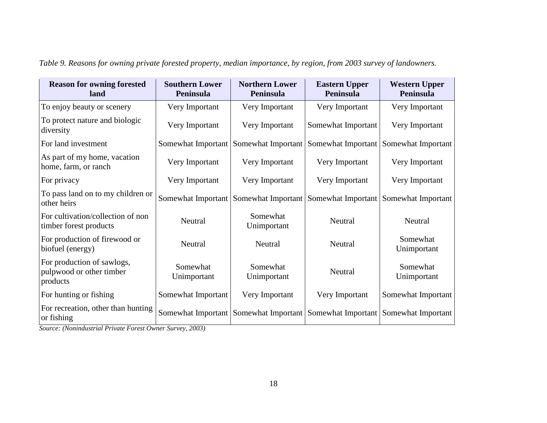| <b>Reason for owning forested</b><br>land                          | <b>Southern Lower</b><br>Peninsula | <b>Northern Lower</b><br>Peninsula                           | <b>Eastern Upper</b><br>Peninsula | <b>Western Upper</b><br><b>Peninsula</b> |
|--------------------------------------------------------------------|------------------------------------|--------------------------------------------------------------|-----------------------------------|------------------------------------------|
| To enjoy beauty or scenery                                         | Very Important                     | Very Important                                               | Very Important                    | Very Important                           |
| To protect nature and biologic<br>diversity                        | Very Important                     | Very Important                                               | Somewhat Important                | Very Important                           |
| For land investment                                                | Somewhat Important                 | Somewhat Important                                           | Somewhat Important                | Somewhat Important                       |
| As part of my home, vacation<br>home, farm, or ranch               | Very Important                     | Very Important                                               | Very Important                    | Very Important                           |
| For privacy                                                        | Very Important                     | Very Important                                               | Very Important                    | Very Important                           |
| To pass land on to my children or<br>other heirs                   | Somewhat Important                 | Somewhat Important                                           | Somewhat Important                | Somewhat Important                       |
| For cultivation/collection of non<br>timber forest products        | Neutral                            | Somewhat<br>Unimportant                                      | Neutral                           | Neutral                                  |
| For production of firewood or<br>biofuel (energy)                  | Neutral                            | Neutral                                                      | Neutral                           | Somewhat<br>Unimportant                  |
| For production of sawlogs,<br>pulpwood or other timber<br>products | Somewhat<br>Unimportant            | Somewhat<br>Unimportant                                      | Neutral                           | Somewhat<br>Unimportant                  |
| For hunting or fishing                                             | Somewhat Important                 | Very Important                                               | Very Important                    | Somewhat Important                       |
| For recreation, other than hunting<br>or fishing                   |                                    | Somewhat Important   Somewhat Important   Somewhat Important |                                   | Somewhat Important                       |

*Table 9. Reasons for owning private forested property, median importance, by region, from 2003 survey of landowners.*

*Source: (Nonindustrial Private Forest Owner Survey, 2003)*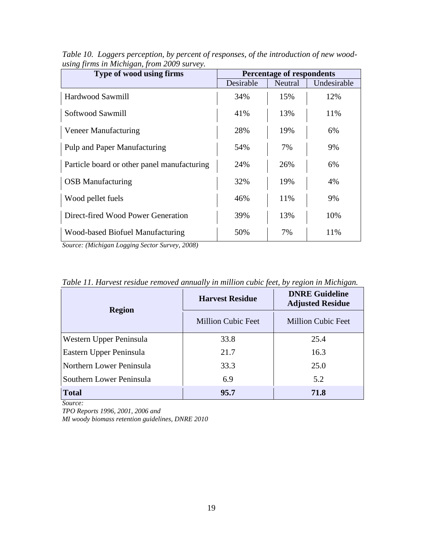| Type of wood using firms                    | <b>Percentage of respondents</b> |         |             |  |  |
|---------------------------------------------|----------------------------------|---------|-------------|--|--|
|                                             | Desirable                        | Neutral | Undesirable |  |  |
| Hardwood Sawmill                            | 34%                              | 15%     | 12%         |  |  |
| Softwood Sawmill                            | 41\%                             | 13%     | 11%         |  |  |
| Veneer Manufacturing                        | 28%                              | 19%     | 6%          |  |  |
| Pulp and Paper Manufacturing                | 54%                              | 7%      | 9%          |  |  |
| Particle board or other panel manufacturing | 24%                              | 26%     | 6%          |  |  |
| <b>OSB</b> Manufacturing                    | 32%                              | 19%     | 4%          |  |  |
| Wood pellet fuels                           | 46%                              | 11%     | 9%          |  |  |
| Direct-fired Wood Power Generation          | 39%                              | 13%     | 10%         |  |  |
| Wood-based Biofuel Manufacturing            | 50%                              | 7%      | 11%         |  |  |

*Table 10. Loggers perception, by percent of responses, of the introduction of new woodusing firms in Michigan, from 2009 survey.*

*Source: (Michigan Logging Sector Survey, 2008)*

| <b>Region</b>            | <b>Harvest Residue</b>    | <b>DNRE Guideline</b><br><b>Adjusted Residue</b> |  |  |
|--------------------------|---------------------------|--------------------------------------------------|--|--|
|                          | <b>Million Cubic Feet</b> | <b>Million Cubic Feet</b>                        |  |  |
| Western Upper Peninsula  | 33.8                      | 25.4                                             |  |  |
| Eastern Upper Peninsula  | 21.7                      | 16.3                                             |  |  |
| Northern Lower Peninsula | 33.3                      | 25.0                                             |  |  |
| Southern Lower Peninsula | 6.9                       | 5.2                                              |  |  |
| <b>Total</b>             | 95.7                      | 71.8                                             |  |  |

*Table 11. Harvest residue removed annually in million cubic feet, by region in Michigan.* 

*Source:* 

*TPO Reports 1996, 2001, 2006 and* 

*MI woody biomass retention guidelines, DNRE 2010*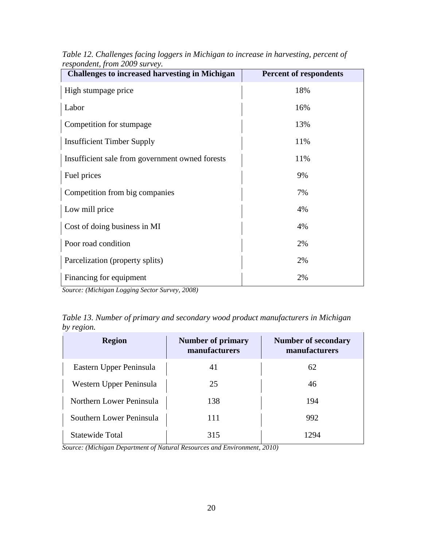| $\ldots$<br><b>Challenges to increased harvesting in Michigan</b> | <b>Percent of respondents</b> |  |  |  |
|-------------------------------------------------------------------|-------------------------------|--|--|--|
| High stumpage price                                               | 18%                           |  |  |  |
| Labor                                                             | 16%                           |  |  |  |
| Competition for stumpage                                          | 13%                           |  |  |  |
| <b>Insufficient Timber Supply</b>                                 | 11%                           |  |  |  |
| Insufficient sale from government owned forests                   | 11%                           |  |  |  |
| Fuel prices                                                       | 9%                            |  |  |  |
| Competition from big companies                                    | 7%                            |  |  |  |
| Low mill price                                                    | 4%                            |  |  |  |
| Cost of doing business in MI                                      | 4%                            |  |  |  |
| Poor road condition                                               | 2%                            |  |  |  |
| Parcelization (property splits)                                   | 2%                            |  |  |  |
| Financing for equipment                                           | 2%                            |  |  |  |

*Table 12. Challenges facing loggers in Michigan to increase in harvesting, percent of respondent, from 2009 survey.*

*Source: (Michigan Logging Sector Survey, 2008)*

| Table 13. Number of primary and secondary wood product manufacturers in Michigan |  |
|----------------------------------------------------------------------------------|--|
| by region.                                                                       |  |

| <b>Region</b>            | <b>Number of primary</b><br>manufacturers | <b>Number of secondary</b><br>manufacturers |
|--------------------------|-------------------------------------------|---------------------------------------------|
| Eastern Upper Peninsula  | 41                                        | 62                                          |
| Western Upper Peninsula  | 25                                        | 46                                          |
| Northern Lower Peninsula | 138                                       | 194                                         |
| Southern Lower Peninsula | 111                                       | 992                                         |
| Statewide Total          | 315                                       | 1294                                        |

*Source: (Michigan Department of Natural Resources and Environment, 2010)*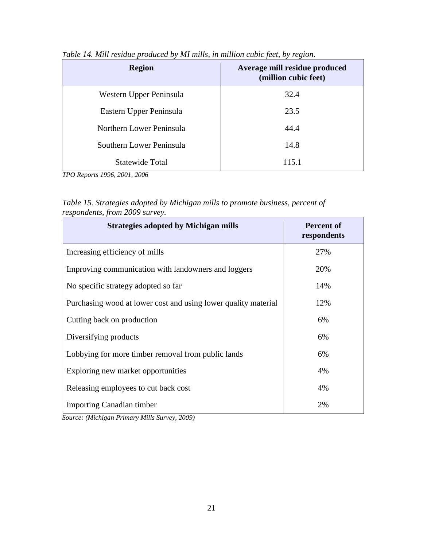| <b>Region</b>            | Average mill residue produced<br>(million cubic feet) |
|--------------------------|-------------------------------------------------------|
| Western Upper Peninsula  | 32.4                                                  |
| Eastern Upper Peninsula  | 23.5                                                  |
| Northern Lower Peninsula | 44.4                                                  |
| Southern Lower Peninsula | 14.8                                                  |
| <b>Statewide Total</b>   | 115.1                                                 |

*Table 14. Mill residue produced by MI mills, in million cubic feet, by region.*

*TPO Reports 1996, 2001, 2006*

*Table 15. Strategies adopted by Michigan mills to promote business, percent of respondents, from 2009 survey.*

| <b>Strategies adopted by Michigan mills</b>                    | <b>Percent of</b><br>respondents |  |  |
|----------------------------------------------------------------|----------------------------------|--|--|
| Increasing efficiency of mills                                 | 27%                              |  |  |
| Improving communication with landowners and loggers            | 20%                              |  |  |
| No specific strategy adopted so far                            | 14%                              |  |  |
| Purchasing wood at lower cost and using lower quality material | 12%                              |  |  |
| Cutting back on production                                     | 6%                               |  |  |
| Diversifying products                                          | 6%                               |  |  |
| Lobbying for more timber removal from public lands             | 6%                               |  |  |
| Exploring new market opportunities                             | 4%                               |  |  |
| Releasing employees to cut back cost                           | 4%                               |  |  |
| <b>Importing Canadian timber</b>                               | 2%                               |  |  |

*Source: (Michigan Primary Mills Survey, 2009)*